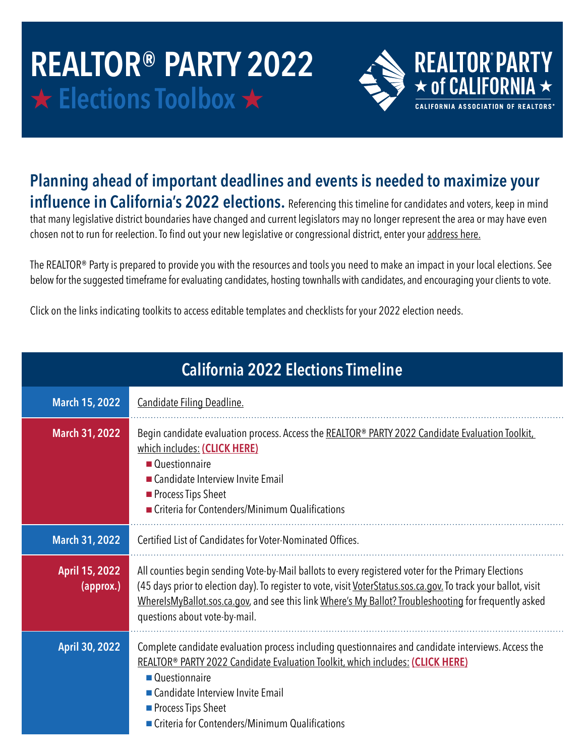## **REALTOR® PARTY 2022 \* Elections Toolbox \***



## **Planning ahead of important deadlines and events is needed to maximize your influence in California's 2022 elections.** Referencing this timeline for candidates and voters, keep in mind

that many legislative district boundaries have changed and current legislators may no longer represent the area or may have even chosen not to run for reelection. To find out your new legislative or congressional district, enter your [address here.](https://calmatters.org/politics/2022/01/california-election-new-districts-lookup/)

The REALTOR® Party is prepared to provide you with the resources and tools you need to make an impact in your local elections. See below for the suggested timeframe for evaluating candidates, hosting townhalls with candidates, and encouraging your clients to vote.

Click on the links indicating toolkits to access editable templates and checklists for your 2022 election needs.

| <b>California 2022 Elections Timeline</b> |                                                                                                                                                                                                                                                                                                                                                                  |
|-------------------------------------------|------------------------------------------------------------------------------------------------------------------------------------------------------------------------------------------------------------------------------------------------------------------------------------------------------------------------------------------------------------------|
| <b>March 15, 2022</b>                     | Candidate Filing Deadline.                                                                                                                                                                                                                                                                                                                                       |
| <b>March 31, 2022</b>                     | Begin candidate evaluation process. Access the REALTOR® PARTY 2022 Candidate Evaluation Toolkit,<br>which includes: (CLICK HERE)<br>■ Questionnaire<br>Candidate Interview Invite Email<br>Process Tips Sheet<br>Criteria for Contenders/Minimum Qualifications                                                                                                  |
| <b>March 31, 2022</b>                     | Certified List of Candidates for Voter-Nominated Offices.                                                                                                                                                                                                                                                                                                        |
| April 15, 2022<br>(approx.)               | All counties begin sending Vote-by-Mail ballots to every registered voter for the Primary Elections<br>(45 days prior to election day). To register to vote, visit VoterStatus.sos.ca.gov. To track your ballot, visit<br>WherelsMyBallot.sos.ca.gov, and see this link Where's My Ballot? Troubleshooting for frequently asked<br>questions about vote-by-mail. |
| April 30, 2022                            | Complete candidate evaluation process including questionnaires and candidate interviews. Access the<br>REALTOR <sup>®</sup> PARTY 2022 Candidate Evaluation Toolkit, which includes: (CLICK HERE)<br>■ Questionnaire<br>Candidate Interview Invite Email<br>Process Tips Sheet<br>Criteria for Contenders/Minimum Qualifications                                 |